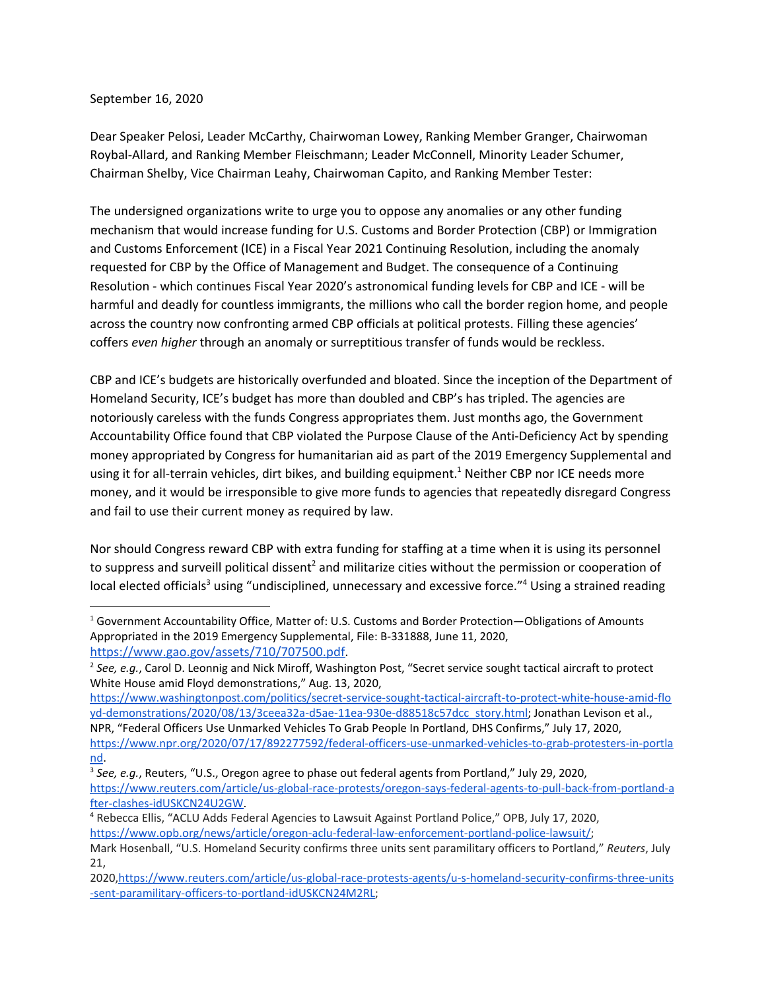## September 16, 2020

Dear Speaker Pelosi, Leader McCarthy, Chairwoman Lowey, Ranking Member Granger, Chairwoman Roybal-Allard, and Ranking Member Fleischmann; Leader McConnell, Minority Leader Schumer, Chairman Shelby, Vice Chairman Leahy, Chairwoman Capito, and Ranking Member Tester:

The undersigned organizations write to urge you to oppose any anomalies or any other funding mechanism that would increase funding for U.S. Customs and Border Protection (CBP) or Immigration and Customs Enforcement (ICE) in a Fiscal Year 2021 Continuing Resolution, including the anomaly requested for CBP by the Office of Management and Budget. The consequence of a Continuing Resolution - which continues Fiscal Year 2020's astronomical funding levels for CBP and ICE - will be harmful and deadly for countless immigrants, the millions who call the border region home, and people across the country now confronting armed CBP officials at political protests. Filling these agencies' coffers *even higher* through an anomaly or surreptitious transfer of funds would be reckless.

CBP and ICE's budgets are historically overfunded and bloated. Since the inception of the Department of Homeland Security, ICE's budget has more than doubled and CBP's has tripled. The agencies are notoriously careless with the funds Congress appropriates them. Just months ago, the Government Accountability Office found that CBP violated the Purpose Clause of the Anti-Deficiency Act by spending money appropriated by Congress for humanitarian aid as part of the 2019 Emergency Supplemental and using it for all-terrain vehicles, dirt bikes, and building equipment.<sup>1</sup> Neither CBP nor ICE needs more money, and it would be irresponsible to give more funds to agencies that repeatedly disregard Congress and fail to use their current money as required by law.

Nor should Congress reward CBP with extra funding for staffing at a time when it is using its personnel to suppress and surveill political dissent<sup>2</sup> and militarize cities without the permission or cooperation of local elected officials<sup>3</sup> using "undisciplined, unnecessary and excessive force."<sup>4</sup> Using a strained reading

[https://www.washingtonpost.com/politics/secret-service-sought-tactical-aircraft-to-protect-white-house-amid-flo](https://www.washingtonpost.com/politics/secret-service-sought-tactical-aircraft-to-protect-white-house-amid-floyd-demonstrations/2020/08/13/3ceea32a-d5ae-11ea-930e-d88518c57dcc_story.html) [yd-demonstrations/2020/08/13/3ceea32a-d5ae-11ea-930e-d88518c57dcc\\_story.html](https://www.washingtonpost.com/politics/secret-service-sought-tactical-aircraft-to-protect-white-house-amid-floyd-demonstrations/2020/08/13/3ceea32a-d5ae-11ea-930e-d88518c57dcc_story.html); Jonathan Levison et al.,

 $1$  Government Accountability Office, Matter of: U.S. Customs and Border Protection—Obligations of Amounts Appropriated in the 2019 Emergency Supplemental, File: B-331888, June 11, 2020, [https://www.gao.gov/assets/710/707500.pdf.](https://www.gao.gov/assets/710/707500.pdf)

<sup>2</sup> *See, e.g.*, Carol D. Leonnig and Nick Miroff, Washington Post, "Secret service sought tactical aircraft to protect White House amid Floyd demonstrations," Aug. 13, 2020,

NPR, "Federal Officers Use Unmarked Vehicles To Grab People In Portland, DHS Confirms," July 17, 2020, [https://www.npr.org/2020/07/17/892277592/federal-officers-use-unmarked-vehicles-to-grab-protesters-in-portla](https://www.npr.org/2020/07/17/892277592/federal-officers-use-unmarked-vehicles-to-grab-protesters-in-portland) [nd](https://www.npr.org/2020/07/17/892277592/federal-officers-use-unmarked-vehicles-to-grab-protesters-in-portland).

<sup>3</sup> *See, e.g.*, Reuters, "U.S., Oregon agree to phase out federal agents from Portland," July 29, 2020, [https://www.reuters.com/article/us-global-race-protests/oregon-says-federal-agents-to-pull-back-from-portland-a](https://www.reuters.com/article/us-global-race-protests/oregon-says-federal-agents-to-pull-back-from-portland-after-clashes-idUSKCN24U2GW) [fter-clashes-idUSKCN24U2GW.](https://www.reuters.com/article/us-global-race-protests/oregon-says-federal-agents-to-pull-back-from-portland-after-clashes-idUSKCN24U2GW)

<sup>4</sup> Rebecca Ellis, "ACLU Adds Federal Agencies to Lawsuit Against Portland Police," OPB, July 17, 2020, <https://www.opb.org/news/article/oregon-aclu-federal-law-enforcement-portland-police-lawsuit/>;

Mark Hosenball, "U.S. Homeland Security confirms three units sent paramilitary officers to Portland," *Reuters*, July 21,

<sup>2020</sup>[,https://www.reuters.com/article/us-global-race-protests-agents/u-s-homeland-security-confirms-three-units](https://www.reuters.com/article/us-global-race-protests-agents/u-s-homeland-security-confirms-three-units-sent-paramilitary-officers-to-portland-idUSKCN24M2RL) [-sent-paramilitary-officers-to-portland-idUSKCN24M2RL;](https://www.reuters.com/article/us-global-race-protests-agents/u-s-homeland-security-confirms-three-units-sent-paramilitary-officers-to-portland-idUSKCN24M2RL)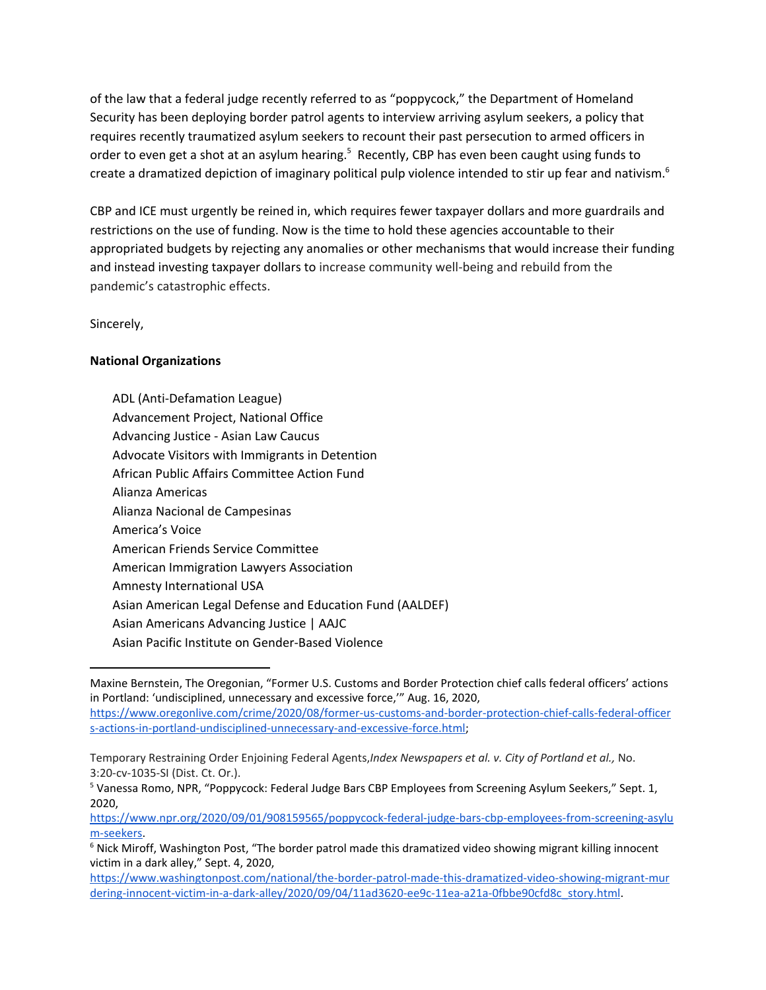of the law that a federal judge recently referred to as "poppycock," the Department of Homeland Security has been deploying border patrol agents to interview arriving asylum seekers, a policy that requires recently traumatized asylum seekers to recount their past persecution to armed officers in order to even get a shot at an asylum hearing.<sup>5</sup> Recently, CBP has even been caught using funds to create a dramatized depiction of imaginary political pulp violence intended to stir up fear and nativism.<sup>6</sup>

CBP and ICE must urgently be reined in, which requires fewer taxpayer dollars and more guardrails and restrictions on the use of funding. Now is the time to hold these agencies accountable to their appropriated budgets by rejecting any anomalies or other mechanisms that would increase their funding and instead investing taxpayer dollars to increase community well-being and rebuild from the pandemic's catastrophic effects.

Sincerely,

## **National Organizations**

ADL (Anti-Defamation League) Advancement Project, National Office Advancing Justice - Asian Law Caucus Advocate Visitors with Immigrants in Detention African Public Affairs Committee Action Fund Alianza Americas Alianza Nacional de Campesinas America's Voice American Friends Service Committee American Immigration Lawyers Association Amnesty International USA Asian American Legal Defense and Education Fund (AALDEF) Asian Americans Advancing Justice | AAJC Asian Pacific Institute on Gender-Based Violence

Maxine Bernstein, The Oregonian, "Former U.S. Customs and Border Protection chief calls federal officers' actions in Portland: 'undisciplined, unnecessary and excessive force,'" Aug. 16, 2020, [https://www.oregonlive.com/crime/2020/08/former-us-customs-and-border-protection-chief-calls-federal-officer](https://www.oregonlive.com/crime/2020/08/former-us-customs-and-border-protection-chief-calls-federal-officers-actions-in-portland-undisciplined-unnecessary-and-excessive-force.html) [s-actions-in-portland-undisciplined-unnecessary-and-excessive-force.html](https://www.oregonlive.com/crime/2020/08/former-us-customs-and-border-protection-chief-calls-federal-officers-actions-in-portland-undisciplined-unnecessary-and-excessive-force.html);

Temporary Restraining Order Enjoining Federal Agents,*Index Newspapers et al. v. City of Portland et al.,* No. 3:20-cv-1035-SI (Dist. Ct. Or.).

<sup>&</sup>lt;sup>5</sup> Vanessa Romo, NPR, "Poppycock: Federal Judge Bars CBP Employees from Screening Asylum Seekers," Sept. 1, 2020,

[https://www.npr.org/2020/09/01/908159565/poppycock-federal-judge-bars-cbp-employees-from-screening-asylu](https://www.npr.org/2020/09/01/908159565/poppycock-federal-judge-bars-cbp-employees-from-screening-asylum-seekers) [m-seekers.](https://www.npr.org/2020/09/01/908159565/poppycock-federal-judge-bars-cbp-employees-from-screening-asylum-seekers)

<sup>&</sup>lt;sup>6</sup> Nick Miroff, Washington Post, "The border patrol made this dramatized video showing migrant killing innocent victim in a dark alley," Sept. 4, 2020,

[https://www.washingtonpost.com/national/the-border-patrol-made-this-dramatized-video-showing-migrant-mur](https://www.washingtonpost.com/national/the-border-patrol-made-this-dramatized-video-showing-migrant-murdering-innocent-victim-in-a-dark-alley/2020/09/04/11ad3620-ee9c-11ea-a21a-0fbbe90cfd8c_story.html) [dering-innocent-victim-in-a-dark-alley/2020/09/04/11ad3620-ee9c-11ea-a21a-0fbbe90cfd8c\\_story.html](https://www.washingtonpost.com/national/the-border-patrol-made-this-dramatized-video-showing-migrant-murdering-innocent-victim-in-a-dark-alley/2020/09/04/11ad3620-ee9c-11ea-a21a-0fbbe90cfd8c_story.html).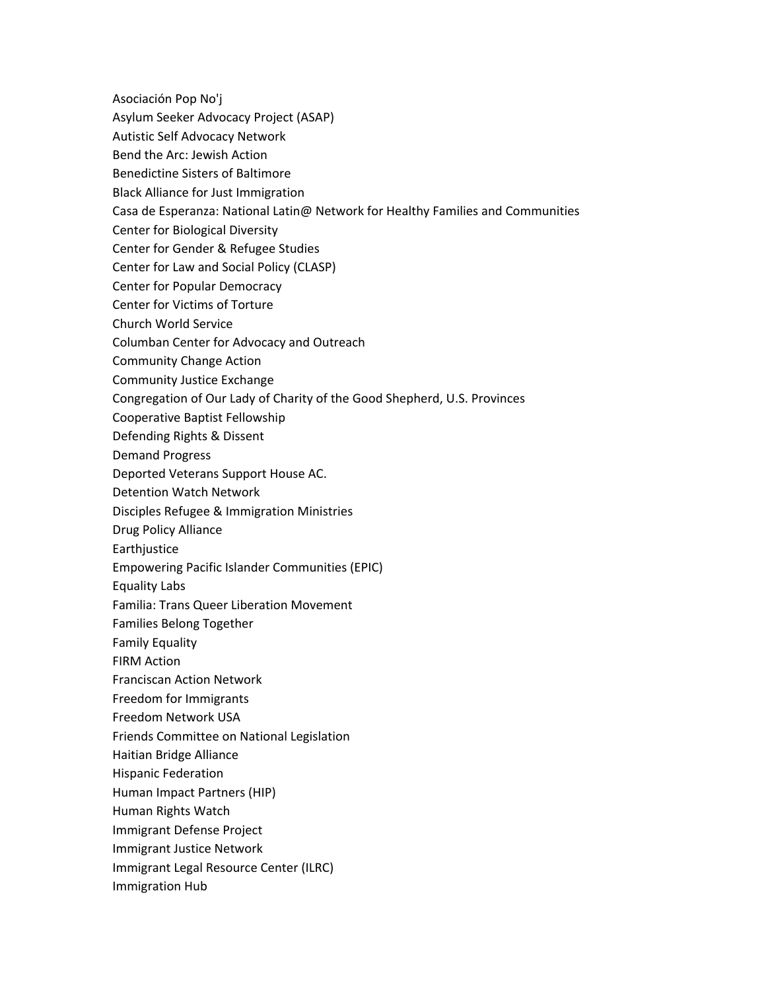Asociación Pop No'j

- Asylum Seeker Advocacy Project (ASAP)
- Autistic Self Advocacy Network
- Bend the Arc: Jewish Action
- Benedictine Sisters of Baltimore
- Black Alliance for Just Immigration
- Casa de Esperanza: National Latin@ Network for Healthy Families and Communities
- Center for Biological Diversity
- Center for Gender & Refugee Studies
- Center for Law and Social Policy (CLASP)
- Center for Popular Democracy
- Center for Victims of Torture
- Church World Service
- Columban Center for Advocacy and Outreach
- Community Change Action
- Community Justice Exchange
- Congregation of Our Lady of Charity of the Good Shepherd, U.S. Provinces
- Cooperative Baptist Fellowship
- Defending Rights & Dissent
- Demand Progress
- Deported Veterans Support House AC.
- Detention Watch Network
- Disciples Refugee & Immigration Ministries
- Drug Policy Alliance
- Earthjustice
- Empowering Pacific Islander Communities (EPIC)
- Equality Labs
- Familia: Trans Queer Liberation Movement
- Families Belong Together
- Family Equality
- FIRM Action
- Franciscan Action Network
- Freedom for Immigrants
- Freedom Network USA
- Friends Committee on National Legislation
- Haitian Bridge Alliance
- Hispanic Federation
- Human Impact Partners (HIP)
- Human Rights Watch
- Immigrant Defense Project
- Immigrant Justice Network
- Immigrant Legal Resource Center (ILRC)
- Immigration Hub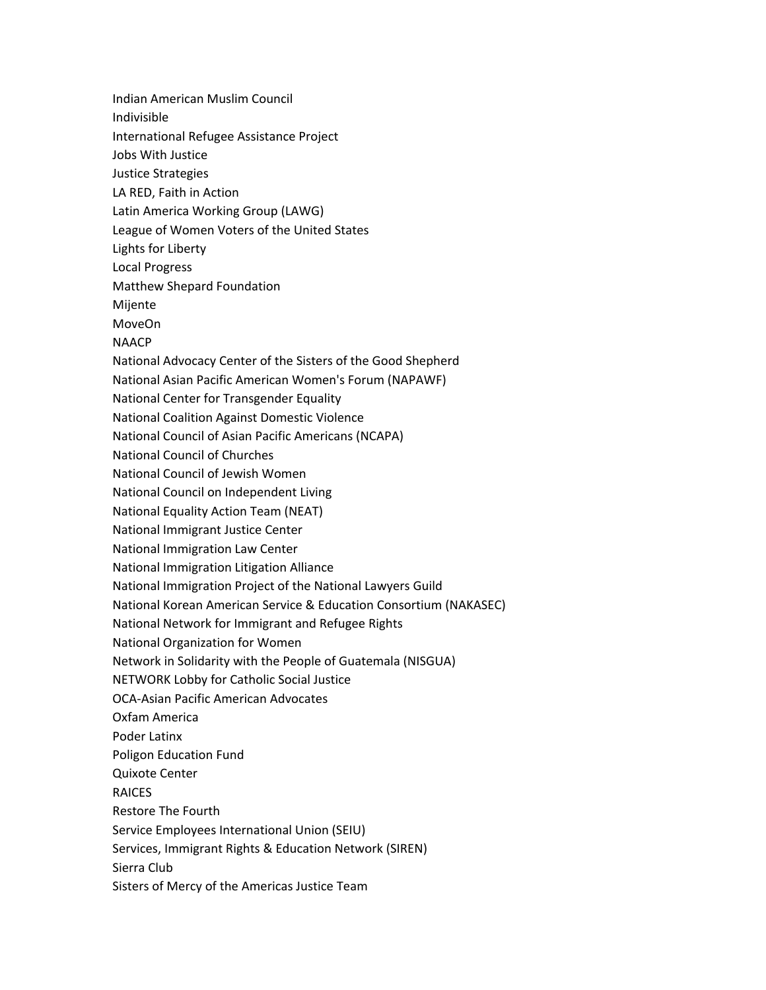Indian American Muslim Council Indivisible International Refugee Assistance Project Jobs With Justice Justice Strategies LA RED, Faith in Action Latin America Working Group (LAWG) League of Women Voters of the United States Lights for Liberty Local Progress Matthew Shepard Foundation Mijente MoveOn **NAACP** National Advocacy Center of the Sisters of the Good Shepherd National Asian Pacific American Women's Forum (NAPAWF) National Center for Transgender Equality National Coalition Against Domestic Violence National Council of Asian Pacific Americans (NCAPA) National Council of Churches National Council of Jewish Women National Council on Independent Living National Equality Action Team (NEAT) National Immigrant Justice Center National Immigration Law Center National Immigration Litigation Alliance National Immigration Project of the National Lawyers Guild National Korean American Service & Education Consortium (NAKASEC) National Network for Immigrant and Refugee Rights National Organization for Women Network in Solidarity with the People of Guatemala (NISGUA) NETWORK Lobby for Catholic Social Justice OCA-Asian Pacific American Advocates Oxfam America Poder Latinx Poligon Education Fund Quixote Center RAICES Restore The Fourth Service Employees International Union (SEIU) Services, Immigrant Rights & Education Network (SIREN) Sierra Club Sisters of Mercy of the Americas Justice Team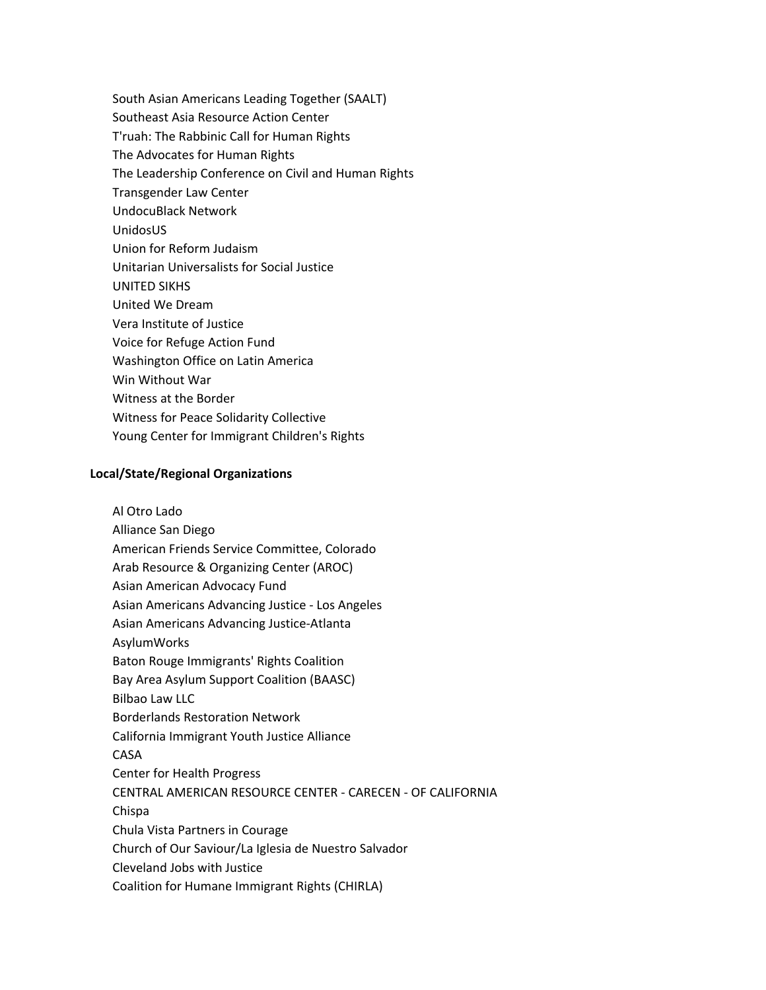South Asian Americans Leading Together (SAALT) Southeast Asia Resource Action Center T'ruah: The Rabbinic Call for Human Rights The Advocates for Human Rights The Leadership Conference on Civil and Human Rights Transgender Law Center UndocuBlack Network UnidosUS Union for Reform Judaism Unitarian Universalists for Social Justice UNITED SIKHS United We Dream Vera Institute of Justice Voice for Refuge Action Fund Washington Office on Latin America Win Without War Witness at the Border Witness for Peace Solidarity Collective Young Center for Immigrant Children's Rights

## **Local/State/Regional Organizations**

Al Otro Lado Alliance San Diego American Friends Service Committee, Colorado Arab Resource & Organizing Center (AROC) Asian American Advocacy Fund Asian Americans Advancing Justice - Los Angeles Asian Americans Advancing Justice-Atlanta AsylumWorks Baton Rouge Immigrants' Rights Coalition Bay Area Asylum Support Coalition (BAASC) Bilbao Law LLC Borderlands Restoration Network California Immigrant Youth Justice Alliance CASA Center for Health Progress CENTRAL AMERICAN RESOURCE CENTER - CARECEN - OF CALIFORNIA Chispa Chula Vista Partners in Courage Church of Our Saviour/La Iglesia de Nuestro Salvador Cleveland Jobs with Justice Coalition for Humane Immigrant Rights (CHIRLA)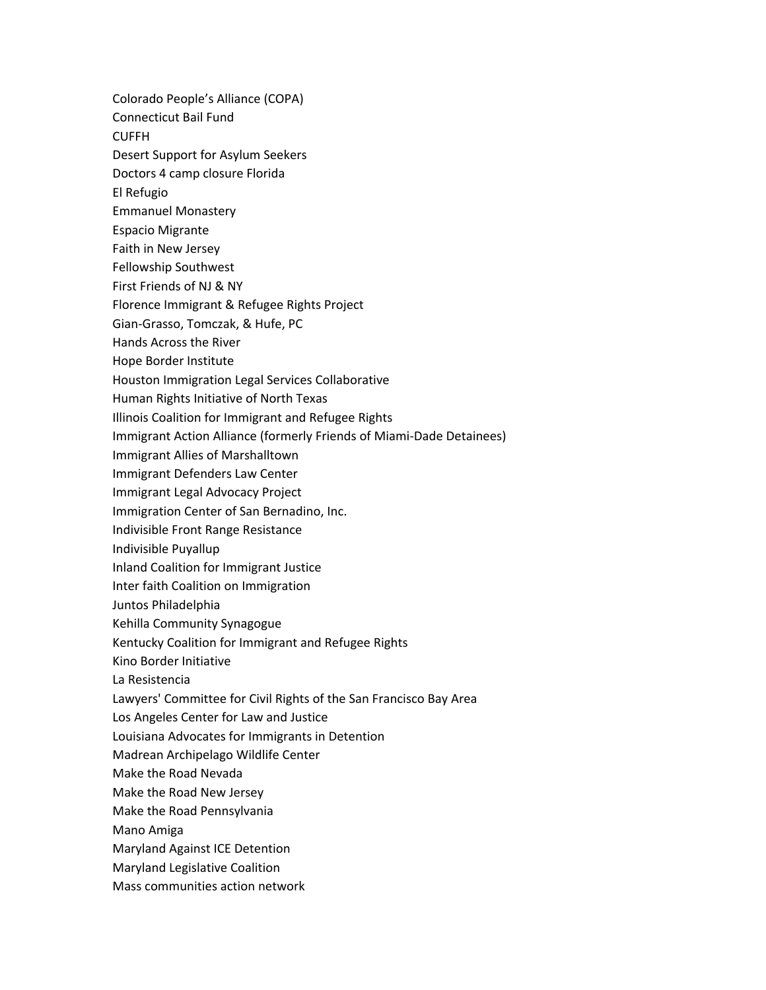- Colorado People's Alliance (COPA)
- Connecticut Bail Fund

CUFFH

- Desert Support for Asylum Seekers
- Doctors 4 camp closure Florida
- El Refugio
- Emmanuel Monastery
- Espacio Migrante
- Faith in New Jersey
- Fellowship Southwest
- First Friends of NJ & NY
- Florence Immigrant & Refugee Rights Project
- Gian-Grasso, Tomczak, & Hufe, PC
- Hands Across the River
- Hope Border Institute
- Houston Immigration Legal Services Collaborative
- Human Rights Initiative of North Texas
- Illinois Coalition for Immigrant and Refugee Rights
- Immigrant Action Alliance (formerly Friends of Miami-Dade Detainees)
- Immigrant Allies of Marshalltown
- Immigrant Defenders Law Center
- Immigrant Legal Advocacy Project
- Immigration Center of San Bernadino, Inc.
- Indivisible Front Range Resistance
- Indivisible Puyallup
- Inland Coalition for Immigrant Justice
- Inter faith Coalition on Immigration
- Juntos Philadelphia
- Kehilla Community Synagogue
- Kentucky Coalition for Immigrant and Refugee Rights
- Kino Border Initiative
- La Resistencia
- Lawyers' Committee for Civil Rights of the San Francisco Bay Area
- Los Angeles Center for Law and Justice
- Louisiana Advocates for Immigrants in Detention
- Madrean Archipelago Wildlife Center
- Make the Road Nevada
- Make the Road New Jersey
- Make the Road Pennsylvania
- Mano Amiga
- Maryland Against ICE Detention
- Maryland Legislative Coalition
- Mass communities action network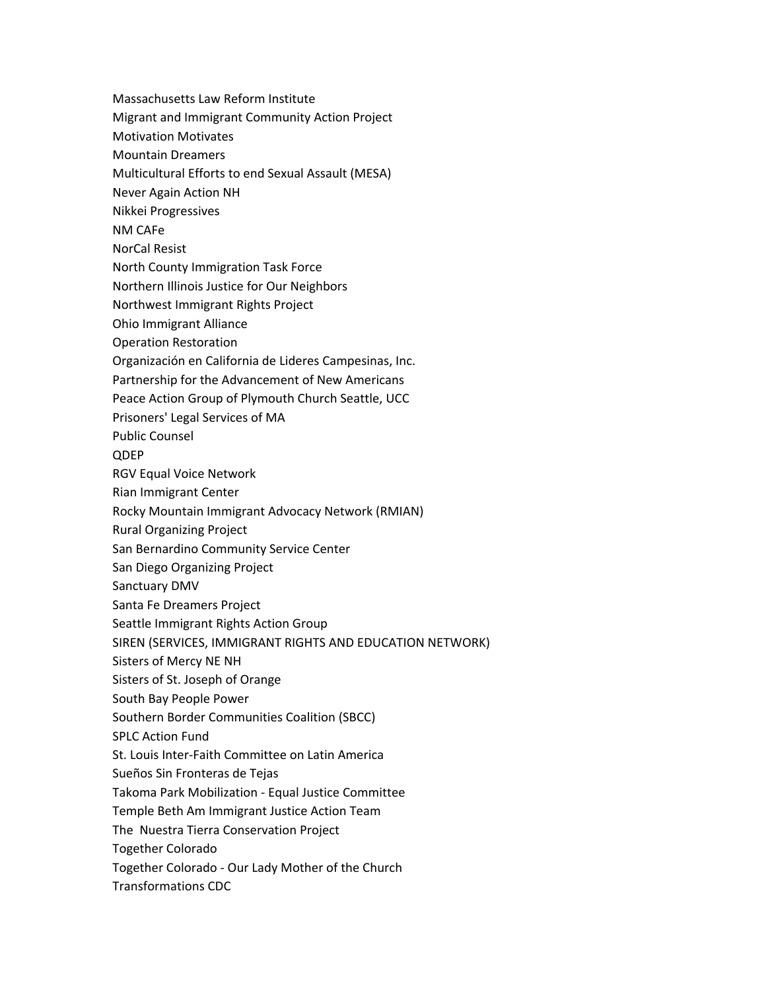- Massachusetts Law Reform Institute
- Migrant and Immigrant Community Action Project
- Motivation Motivates
- Mountain Dreamers
- Multicultural Efforts to end Sexual Assault (MESA)
- Never Again Action NH
- Nikkei Progressives
- NM CAFe
- NorCal Resist
- North County Immigration Task Force
- Northern Illinois Justice for Our Neighbors
- Northwest Immigrant Rights Project
- Ohio Immigrant Alliance
- Operation Restoration
- Organización en California de Lideres Campesinas, Inc.
- Partnership for the Advancement of New Americans
- Peace Action Group of Plymouth Church Seattle, UCC
- Prisoners' Legal Services of MA
- Public Counsel
- QDEP
- RGV Equal Voice Network
- Rian Immigrant Center
- Rocky Mountain Immigrant Advocacy Network (RMIAN)
- Rural Organizing Project
- San Bernardino Community Service Center
- San Diego Organizing Project
- Sanctuary DMV
- Santa Fe Dreamers Project
- Seattle Immigrant Rights Action Group
- SIREN (SERVICES, IMMIGRANT RIGHTS AND EDUCATION NETWORK)
- Sisters of Mercy NE NH
- Sisters of St. Joseph of Orange
- South Bay People Power
- Southern Border Communities Coalition (SBCC)
- SPLC Action Fund
- St. Louis Inter-Faith Committee on Latin America
- Sueños Sin Fronteras de Tejas
- Takoma Park Mobilization Equal Justice Committee
- Temple Beth Am Immigrant Justice Action Team
- The Nuestra Tierra Conservation Project
- Together Colorado
- Together Colorado Our Lady Mother of the Church
- Transformations CDC